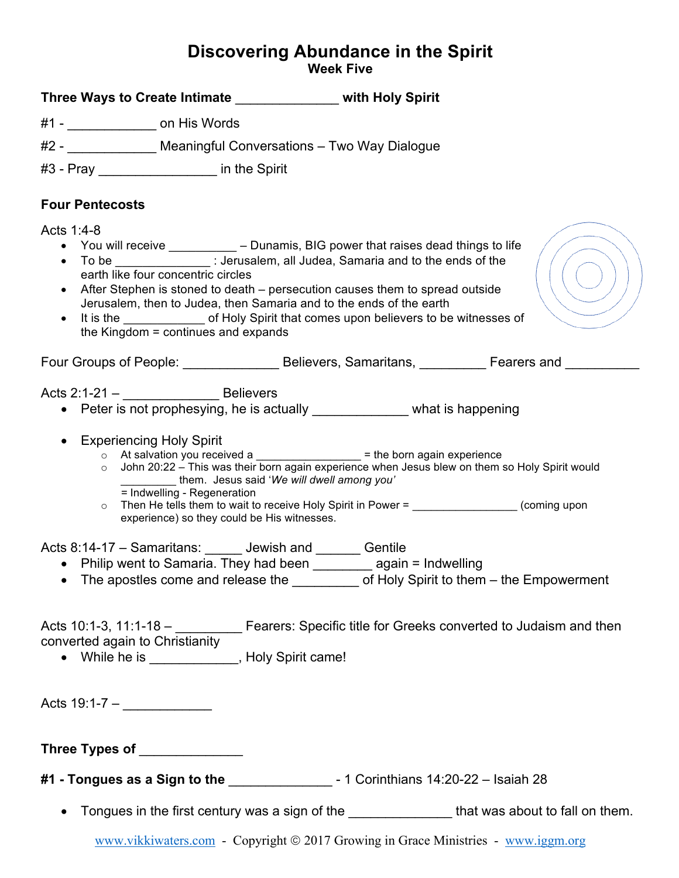## **Discovering Abundance in the Spirit Week Five**

| Three Ways to Create Intimate Three Ways to Create Intimate                                                                                                                                               |                                                                                                                                                                                                                                                                                                                                                                    |  |
|-----------------------------------------------------------------------------------------------------------------------------------------------------------------------------------------------------------|--------------------------------------------------------------------------------------------------------------------------------------------------------------------------------------------------------------------------------------------------------------------------------------------------------------------------------------------------------------------|--|
| #1 - _________________ on His Words                                                                                                                                                                       |                                                                                                                                                                                                                                                                                                                                                                    |  |
| #2 - ______________ Meaningful Conversations - Two Way Dialogue                                                                                                                                           |                                                                                                                                                                                                                                                                                                                                                                    |  |
| #3 - Pray _____________________ in the Spirit                                                                                                                                                             |                                                                                                                                                                                                                                                                                                                                                                    |  |
| <b>Four Pentecosts</b>                                                                                                                                                                                    |                                                                                                                                                                                                                                                                                                                                                                    |  |
| Acts 1:4-8<br>earth like four concentric circles<br>$\bullet$<br>Jerusalem, then to Judea, then Samaria and to the ends of the earth<br>$\bullet$<br>the Kingdom $=$ continues and expands                | • You will receive ____________ - Dunamis, BIG power that raises dead things to life<br>• To be _______________: Jerusalem, all Judea, Samaria and to the ends of the<br>After Stephen is stoned to death – persecution causes them to spread outside<br>It is the _____________________ of Holy Spirit that comes upon believers to be witnesses of               |  |
|                                                                                                                                                                                                           | Four Groups of People: _______________________Believers, Samaritans, ____________Fearers and ___________                                                                                                                                                                                                                                                           |  |
| Acts $2:1-21 -$ Believers<br>• Experiencing Holy Spirit<br>$\circ$<br>them. Jesus said 'We will dwell among you'<br>= Indwelling - Regeneration<br>$\circ$<br>experience) so they could be His witnesses. | • Peter is not prophesying, he is actually ______________ what is happening<br>$\circ$ At salvation you received a __________________ = the born again experience<br>John 20:22 - This was their born again experience when Jesus blew on them so Holy Spirit would<br>Then He tells them to wait to receive Holy Spirit in Power = __________________(coming upon |  |
| Acts 8:14-17 - Samaritans: ______ Jewish and _______ Gentile<br>• Philip went to Samaria. They had been __________ again = Indwelling                                                                     | • The apostles come and release the _________ of Holy Spirit to them - the Empowerment                                                                                                                                                                                                                                                                             |  |
| converted again to Christianity<br>• While he is _____________, Holy Spirit came!                                                                                                                         | Acts 10:1-3, 11:1-18 - _ _ _ _ Fearers: Specific title for Greeks converted to Judaism and then                                                                                                                                                                                                                                                                    |  |
| Acts 19:1-7 – ______________                                                                                                                                                                              |                                                                                                                                                                                                                                                                                                                                                                    |  |
| Three Types of ______________                                                                                                                                                                             |                                                                                                                                                                                                                                                                                                                                                                    |  |
|                                                                                                                                                                                                           |                                                                                                                                                                                                                                                                                                                                                                    |  |
|                                                                                                                                                                                                           | Tongues in the first century was a sign of the ___________________that was about to fall on them.                                                                                                                                                                                                                                                                  |  |
|                                                                                                                                                                                                           | www.vikkiwaters.com - Copyright © 2017 Growing in Grace Ministries - www.iggm.org                                                                                                                                                                                                                                                                                  |  |